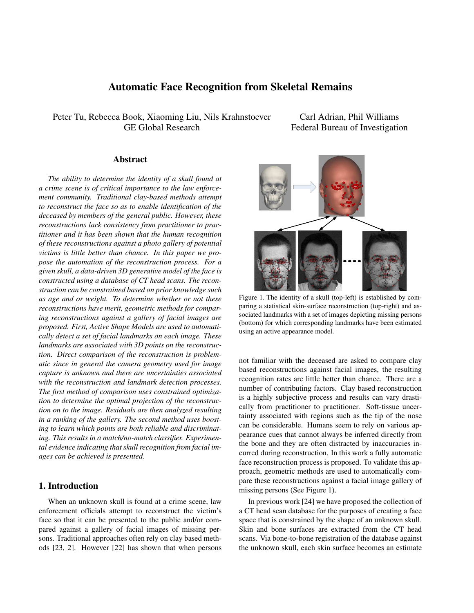# Automatic Face Recognition from Skeletal Remains

Peter Tu, Rebecca Book, Xiaoming Liu, Nils Krahnstoever GE Global Research

Carl Adrian, Phil Williams Federal Bureau of Investigation

# Abstract

*The ability to determine the identity of a skull found at a crime scene is of critical importance to the law enforcement community. Traditional clay-based methods attempt to reconstruct the face so as to enable identification of the deceased by members of the general public. However, these reconstructions lack consistency from practitioner to practitioner and it has been shown that the human recognition of these reconstructions against a photo gallery of potential victims is little better than chance. In this paper we propose the automation of the reconstruction process. For a given skull, a data-driven 3D generative model of the face is constructed using a database of CT head scans. The reconstruction can be constrained based on prior knowledge such as age and or weight. To determine whether or not these reconstructions have merit, geometric methods for comparing reconstructions against a gallery of facial images are proposed. First, Active Shape Models are used to automatically detect a set of facial landmarks on each image. These landmarks are associated with 3D points on the reconstruction. Direct comparison of the reconstruction is problematic since in general the camera geometry used for image capture is unknown and there are uncertainties associated with the reconstruction and landmark detection processes. The first method of comparison uses constrained optimization to determine the optimal projection of the reconstruction on to the image. Residuals are then analyzed resulting in a ranking of the gallery. The second method uses boosting to learn which points are both reliable and discriminating. This results in a match/no-match classifier. Experimental evidence indicating that skull recognition from facial images can be achieved is presented.*

# 1. Introduction

When an unknown skull is found at a crime scene, law enforcement officials attempt to reconstruct the victim's face so that it can be presented to the public and/or compared against a gallery of facial images of missing persons. Traditional approaches often rely on clay based methods [23, 2]. However [22] has shown that when persons



Figure 1. The identity of a skull (top-left) is established by comparing a statistical skin-surface reconstruction (top-right) and associated landmarks with a set of images depicting missing persons (bottom) for which corresponding landmarks have been estimated using an active appearance model.

not familiar with the deceased are asked to compare clay based reconstructions against facial images, the resulting recognition rates are little better than chance. There are a number of contributing factors. Clay based reconstruction is a highly subjective process and results can vary drastically from practitioner to practitioner. Soft-tissue uncertainty associated with regions such as the tip of the nose can be considerable. Humans seem to rely on various appearance cues that cannot always be inferred directly from the bone and they are often distracted by inaccuracies incurred during reconstruction. In this work a fully automatic face reconstruction process is proposed. To validate this approach, geometric methods are used to automatically compare these reconstructions against a facial image gallery of missing persons (See Figure 1).

In previous work [24] we have proposed the collection of a CT head scan database for the purposes of creating a face space that is constrained by the shape of an unknown skull. Skin and bone surfaces are extracted from the CT head scans. Via bone-to-bone registration of the database against the unknown skull, each skin surface becomes an estimate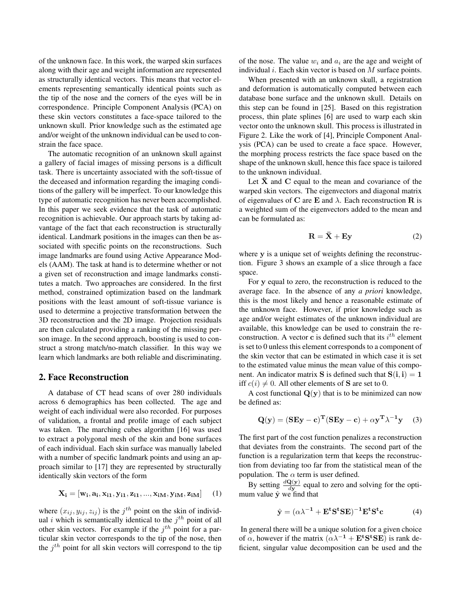of the unknown face. In this work, the warped skin surfaces along with their age and weight information are represented as structurally identical vectors. This means that vector elements representing semantically identical points such as the tip of the nose and the corners of the eyes will be in correspondence. Principle Component Analysis (PCA) on these skin vectors constitutes a face-space tailored to the unknown skull. Prior knowledge such as the estimated age and/or weight of the unknown individual can be used to constrain the face space.

The automatic recognition of an unknown skull against a gallery of facial images of missing persons is a difficult task. There is uncertainty associated with the soft-tissue of the deceased and information regarding the imaging conditions of the gallery will be imperfect. To our knowledge this type of automatic recognition has never been accomplished. In this paper we seek evidence that the task of automatic recognition is achievable. Our approach starts by taking advantage of the fact that each reconstruction is structurally identical. Landmark positions in the images can then be associated with specific points on the reconstructions. Such image landmarks are found using Active Appearance Models (AAM). The task at hand is to determine whether or not a given set of reconstruction and image landmarks constitutes a match. Two approaches are considered. In the first method, constrained optimization based on the landmark positions with the least amount of soft-tissue variance is used to determine a projective transformation between the 3D reconstruction and the 2D image. Projection residuals are then calculated providing a ranking of the missing person image. In the second approach, boosting is used to construct a strong match/no-match classifier. In this way we learn which landmarks are both reliable and discriminating.

#### 2. Face Reconstruction

A database of CT head scans of over 280 individuals across 6 demographics has been collected. The age and weight of each individual were also recorded. For purposes of validation, a frontal and profile image of each subject was taken. The marching cubes algorithm [16] was used to extract a polygonal mesh of the skin and bone surfaces of each individual. Each skin surface was manually labeled with a number of specific landmark points and using an approach similar to [17] they are represented by structurally identically skin vectors of the form

$$
\mathbf{X_i} = [\mathbf{w_i}, \mathbf{a_i}, \mathbf{x_{i1}}, \mathbf{y_{i1}}, \mathbf{z_{i1}}, ..., \mathbf{x_{iM}}, \mathbf{y_{iM}}, \mathbf{z_{iM}}] \hspace{0.5cm}(1)
$$

where  $(x_{ij}, y_{ij}, z_{ij})$  is the  $j^{th}$  point on the skin of individual *i* which is semantically identical to the  $j<sup>th</sup>$  point of all other skin vectors. For example if the  $j<sup>th</sup>$  point for a particular skin vector corresponds to the tip of the nose, then the  $j<sup>th</sup>$  point for all skin vectors will correspond to the tip of the nose. The value  $w_i$  and  $a_i$  are the age and weight of individual  $i$ . Each skin vector is based on  $M$  surface points.

When presented with an unknown skull, a registration and deformation is automatically computed between each database bone surface and the unknown skull. Details on this step can be found in [25]. Based on this registration process, thin plate splines [6] are used to warp each skin vector onto the unknown skull. This process is illustrated in Figure 2. Like the work of [4], Principle Component Analysis (PCA) can be used to create a face space. However, the morphing process restricts the face space based on the shape of the unknown skull, hence this face space is tailored to the unknown individual.

Let  $\bar{X}$  and C equal to the mean and covariance of the warped skin vectors. The eigenvectors and diagonal matrix of eigenvalues of C are E and  $\lambda$ . Each reconstruction R is a weighted sum of the eigenvectors added to the mean and can be formulated as:

$$
\mathbf{R} = \bar{\mathbf{X}} + \mathbf{E}\mathbf{y} \tag{2}
$$

where y is a unique set of weights defining the reconstruction. Figure 3 shows an example of a slice through a face space.

For y equal to zero, the reconstruction is reduced to the average face. In the absence of any *a priori* knowledge, this is the most likely and hence a reasonable estimate of the unknown face. However, if prior knowledge such as age and/or weight estimates of the unknown individual are available, this knowledge can be used to constrain the reconstruction. A vector **c** is defined such that its  $i^{th}$  element is set to 0 unless this element corresponds to a component of the skin vector that can be estimated in which case it is set to the estimated value minus the mean value of this component. An indicator matrix S is defined such that  $S(i, i) = 1$ iff  $c(i) \neq 0$ . All other elements of **S** are set to 0.

A cost functional  $Q(y)$  that is to be minimized can now be defined as:

$$
\mathbf{Q}(\mathbf{y}) = (\mathbf{SEy} - \mathbf{c})^{\mathbf{T}} (\mathbf{SEy} - \mathbf{c}) + \alpha \mathbf{y}^{\mathbf{T}} \lambda^{-1} \mathbf{y} \quad (3)
$$

The first part of the cost function penalizes a reconstruction that deviates from the constraints. The second part of the function is a regularization term that keeps the reconstruction from deviating too far from the statistical mean of the population. The  $\alpha$  term is user defined.

By setting  $\frac{d\mathbf{Q}(\mathbf{y})}{dy}$  equal to zero and solving for the optimum value  $\hat{y}$  we find that

$$
\hat{\mathbf{y}} = (\alpha \lambda^{-1} + \mathbf{E}^{\mathbf{t}} \mathbf{S}^{\mathbf{t}} \mathbf{S} \mathbf{E})^{-1} \mathbf{E}^{\mathbf{t}} \mathbf{S}^{\mathbf{t}} \mathbf{c}
$$
 (4)

In general there will be a unique solution for a given choice of  $\alpha$ , however if the matrix  $(\alpha \lambda^{-1} + \mathbf{E}^{\mathbf{t}} \mathbf{S}^{\mathbf{t}} \mathbf{S} \mathbf{E})$  is rank deficient, singular value decomposition can be used and the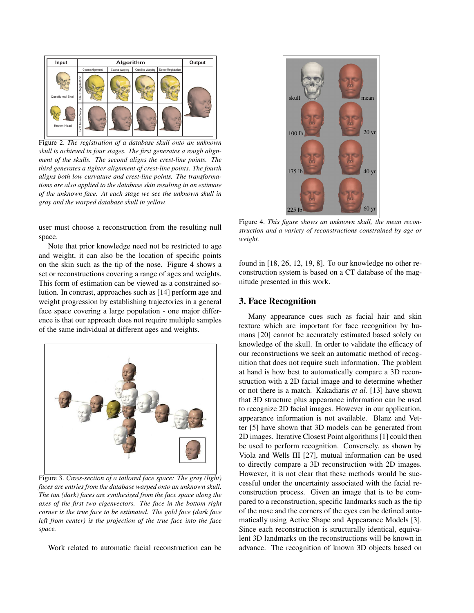

Figure 2. *The registration of a database skull onto an unknown skull is achieved in four stages. The first generates a rough alignment of the skulls. The second aligns the crest-line points. The third generates a tighter alignment of crest-line points. The fourth aligns both low curvature and crest-line points. The transformations are also applied to the database skin resulting in an estimate of the unknown face. At each stage we see the unknown skull in gray and the warped database skull in yellow.*

user must choose a reconstruction from the resulting null space.

Note that prior knowledge need not be restricted to age and weight, it can also be the location of specific points on the skin such as the tip of the nose. Figure 4 shows a set or reconstructions covering a range of ages and weights. This form of estimation can be viewed as a constrained solution. In contrast, approaches such as [14] perform age and weight progression by establishing trajectories in a general face space covering a large population - one major difference is that our approach does not require multiple samples of the same individual at different ages and weights.



Figure 3. *Cross-section of a tailored face space: The gray (light) faces are entries from the database warped onto an unknown skull. The tan (dark) faces are synthesized from the face space along the axes of the first two eigenvectors. The face in the bottom right corner is the true face to be estimated. The gold face (dark face left from center) is the projection of the true face into the face space.*

Work related to automatic facial reconstruction can be



Figure 4. *This figure shows an unknown skull, the mean reconstruction and a variety of reconstructions constrained by age or weight.*

found in [18, 26, 12, 19, 8]. To our knowledge no other reconstruction system is based on a CT database of the magnitude presented in this work.

### 3. Face Recognition

Many appearance cues such as facial hair and skin texture which are important for face recognition by humans [20] cannot be accurately estimated based solely on knowledge of the skull. In order to validate the efficacy of our reconstructions we seek an automatic method of recognition that does not require such information. The problem at hand is how best to automatically compare a 3D reconstruction with a 2D facial image and to determine whether or not there is a match. Kakadiaris *et al.* [13] have shown that 3D structure plus appearance information can be used to recognize 2D facial images. However in our application, appearance information is not available. Blanz and Vetter [5] have shown that 3D models can be generated from 2D images. Iterative Closest Point algorithms [1] could then be used to perform recognition. Conversely, as shown by Viola and Wells III [27], mutual information can be used to directly compare a 3D reconstruction with 2D images. However, it is not clear that these methods would be successful under the uncertainty associated with the facial reconstruction process. Given an image that is to be compared to a reconstruction, specific landmarks such as the tip of the nose and the corners of the eyes can be defined automatically using Active Shape and Appearance Models [3]. Since each reconstruction is structurally identical, equivalent 3D landmarks on the reconstructions will be known in advance. The recognition of known 3D objects based on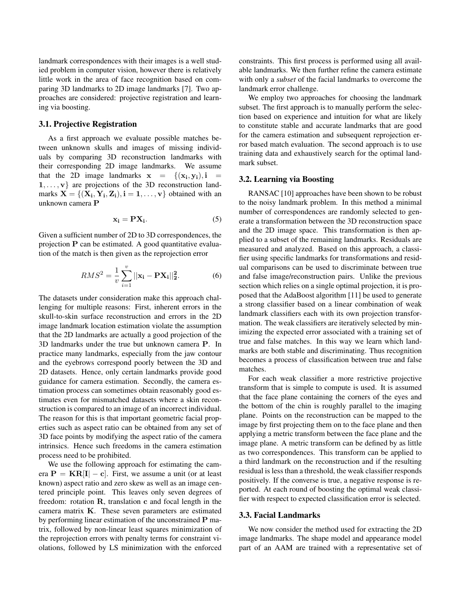landmark correspondences with their images is a well studied problem in computer vision, however there is relatively little work in the area of face recognition based on comparing 3D landmarks to 2D image landmarks [7]. Two approaches are considered: projective registration and learning via boosting.

#### 3.1. Projective Registration

As a first approach we evaluate possible matches between unknown skulls and images of missing individuals by comparing 3D reconstruction landmarks with their corresponding 2D image landmarks. We assume that the 2D image landmarks  $x = \{ (x_i, y_i), i =$  $1, \ldots, v$  are projections of the 3D reconstruction landmarks  $X = \{ (X_i, Y_i, Z_i), i = 1, \dots, v \}$  obtained with an unknown camera P

$$
\mathbf{x_i} = \mathbf{P} \mathbf{X_i}.\tag{5}
$$

Given a sufficient number of 2D to 3D correspondences, the projection P can be estimated. A good quantitative evaluation of the match is then given as the reprojection error

$$
RMS^{2} = \frac{1}{v} \sum_{i=1}^{v} ||\mathbf{x}_{i} - \mathbf{P} \mathbf{X}_{i}||_{2}^{2}.
$$
 (6)

The datasets under consideration make this approach challenging for multiple reasons: First, inherent errors in the skull-to-skin surface reconstruction and errors in the 2D image landmark location estimation violate the assumption that the 2D landmarks are actually a good projection of the 3D landmarks under the true but unknown camera P. In practice many landmarks, especially from the jaw contour and the eyebrows correspond poorly between the 3D and 2D datasets. Hence, only certain landmarks provide good guidance for camera estimation. Secondly, the camera estimation process can sometimes obtain reasonably good estimates even for mismatched datasets where a skin reconstruction is compared to an image of an incorrect individual. The reason for this is that important geometric facial properties such as aspect ratio can be obtained from any set of 3D face points by modifying the aspect ratio of the camera intrinsics. Hence such freedoms in the camera estimation process need to be prohibited.

We use the following approach for estimating the camera  $P = KR[I] - c$ . First, we assume a unit (or at least known) aspect ratio and zero skew as well as an image centered principle point. This leaves only seven degrees of freedom: rotation R, translation c and focal length in the camera matrix K. These seven parameters are estimated by performing linear estimation of the unconstrained P matrix, followed by non-linear least squares minimization of the reprojection errors with penalty terms for constraint violations, followed by LS minimization with the enforced

constraints. This first process is performed using all available landmarks. We then further refine the camera estimate with only a *subset* of the facial landmarks to overcome the landmark error challenge.

We employ two approaches for choosing the landmark subset. The first approach is to manually perform the selection based on experience and intuition for what are likely to constitute stable and accurate landmarks that are good for the camera estimation and subsequent reprojection error based match evaluation. The second approach is to use training data and exhaustively search for the optimal landmark subset.

#### 3.2. Learning via Boosting

RANSAC [10] approaches have been shown to be robust to the noisy landmark problem. In this method a minimal number of correspondences are randomly selected to generate a transformation between the 3D reconstruction space and the 2D image space. This transformation is then applied to a subset of the remaining landmarks. Residuals are measured and analyzed. Based on this approach, a classifier using specific landmarks for transformations and residual comparisons can be used to discriminate between true and false image/reconstruction pairs. Unlike the previous section which relies on a single optimal projection, it is proposed that the AdaBoost algorithm [11] be used to generate a strong classifier based on a linear combination of weak landmark classifiers each with its own projection transformation. The weak classifiers are iteratively selected by minimizing the expected error associated with a training set of true and false matches. In this way we learn which landmarks are both stable and discriminating. Thus recognition becomes a process of classification between true and false matches.

For each weak classifier a more restrictive projective transform that is simple to compute is used. It is assumed that the face plane containing the corners of the eyes and the bottom of the chin is roughly parallel to the imaging plane. Points on the reconstruction can be mapped to the image by first projecting them on to the face plane and then applying a metric transform between the face plane and the image plane. A metric transform can be defined by as little as two correspondences. This transform can be applied to a third landmark on the reconstruction and if the resulting residual is less than a threshold, the weak classifier responds positively. If the converse is true, a negative response is reported. At each round of boosting the optimal weak classifier with respect to expected classification error is selected.

## 3.3. Facial Landmarks

We now consider the method used for extracting the 2D image landmarks. The shape model and appearance model part of an AAM are trained with a representative set of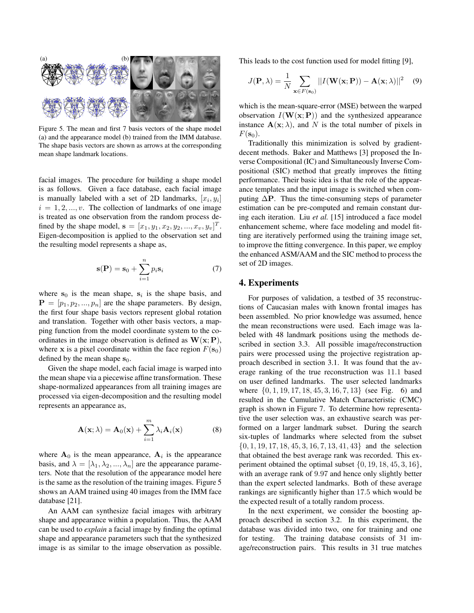

Figure 5. The mean and first 7 basis vectors of the shape model (a) and the appearance model (b) trained from the IMM database. The shape basis vectors are shown as arrows at the corresponding mean shape landmark locations.

facial images. The procedure for building a shape model is as follows. Given a face database, each facial image is manually labeled with a set of 2D landmarks,  $[x_i, y_i]$  $i = 1, 2, ..., v$ . The collection of landmarks of one image is treated as one observation from the random process defined by the shape model,  $\mathbf{s} = [x_1, y_1, x_2, y_2, ..., x_v, y_v]^T$ . Eigen-decomposition is applied to the observation set and the resulting model represents a shape as,

$$
\mathbf{s}(\mathbf{P}) = \mathbf{s}_0 + \sum_{i=1}^{n} p_i \mathbf{s}_i \tag{7}
$$

where  $s_0$  is the mean shape,  $s_i$  is the shape basis, and  $P = [p_1, p_2, ..., p_n]$  are the shape parameters. By design, the first four shape basis vectors represent global rotation and translation. Together with other basis vectors, a mapping function from the model coordinate system to the coordinates in the image observation is defined as  $W(x; P)$ , where x is a pixel coordinate within the face region  $F(\mathbf{s}_0)$ defined by the mean shape  $s_0$ .

Given the shape model, each facial image is warped into the mean shape via a piecewise affine transformation. These shape-normalized appearances from all training images are processed via eigen-decomposition and the resulting model represents an appearance as,

$$
\mathbf{A}(\mathbf{x}; \lambda) = \mathbf{A}_0(\mathbf{x}) + \sum_{i=1}^m \lambda_i \mathbf{A}_i(\mathbf{x})
$$
 (8)

where  $A_0$  is the mean appearance,  $A_i$  is the appearance basis, and  $\lambda = [\lambda_1, \lambda_2, ..., \lambda_n]$  are the appearance parameters. Note that the resolution of the appearance model here is the same as the resolution of the training images. Figure 5 shows an AAM trained using 40 images from the IMM face database [21].

An AAM can synthesize facial images with arbitrary shape and appearance within a population. Thus, the AAM can be used to *explain* a facial image by finding the optimal shape and appearance parameters such that the synthesized image is as similar to the image observation as possible. This leads to the cost function used for model fitting [9],

$$
J(\mathbf{P}, \lambda) = \frac{1}{N} \sum_{\mathbf{x} \in F(\mathbf{s}_0)} ||I(\mathbf{W}(\mathbf{x}; \mathbf{P})) - \mathbf{A}(\mathbf{x}; \lambda)||^2 \quad (9)
$$

which is the mean-square-error (MSE) between the warped observation  $I(W(x; P))$  and the synthesized appearance instance  $\mathbf{A}(\mathbf{x}; \lambda)$ , and N is the total number of pixels in  $F(\mathbf{s}_0)$ .

Traditionally this minimization is solved by gradientdecent methods. Baker and Matthews [3] proposed the Inverse Compositional (IC) and Simultaneously Inverse Compositional (SIC) method that greatly improves the fitting performance. Their basic idea is that the role of the appearance templates and the input image is switched when computing  $\Delta P$ . Thus the time-consuming steps of parameter estimation can be pre-computed and remain constant during each iteration. Liu *et al.* [15] introduced a face model enhancement scheme, where face modeling and model fitting are iteratively performed using the training image set, to improve the fitting convergence. In this paper, we employ the enhanced ASM/AAM and the SIC method to process the set of 2D images.

# 4. Experiments

For purposes of validation, a testbed of 35 reconstructions of Caucasian males with known frontal images has been assembled. No prior knowledge was assumed, hence the mean reconstructions were used. Each image was labeled with 48 landmark positions using the methods described in section 3.3. All possible image/reconstruction pairs were processed using the projective registration approach described in section 3.1. It was found that the average ranking of the true reconstruction was 11.1 based on user defined landmarks. The user selected landmarks where  $\{0, 1, 19, 17, 18, 45, 3, 16, 7, 13\}$  (see Fig. 6) and resulted in the Cumulative Match Characteristic (CMC) graph is shown in Figure 7. To determine how representative the user selection was, an exhaustive search was performed on a larger landmark subset. During the search six-tuples of landmarks where selected from the subset  $\{0, 1, 19, 17, 18, 45, 3, 16, 7, 13, 41, 43\}$  and the selection that obtained the best average rank was recorded. This experiment obtained the optimal subset  $\{0, 19, 18, 45, 3, 16\}$ , with an average rank of 9.97 and hence only slightly better than the expert selected landmarks. Both of these average rankings are significantly higher than 17.5 which would be the expected result of a totally random process.

In the next experiment, we consider the boosting approach described in section 3.2. In this experiment, the database was divided into two, one for training and one for testing. The training database consists of 31 image/reconstruction pairs. This results in 31 true matches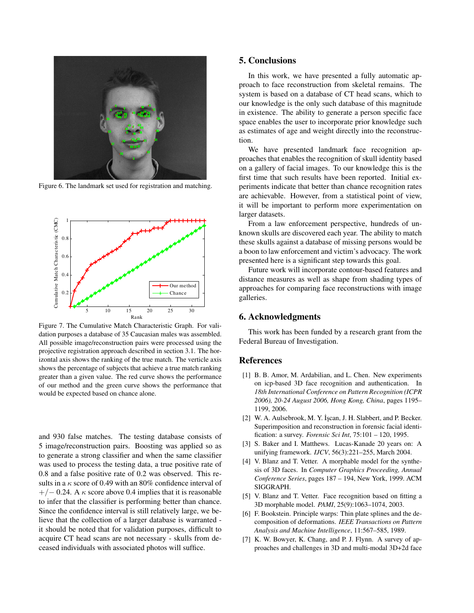

Figure 6. The landmark set used for registration and matching.



Figure 7. The Cumulative Match Characteristic Graph. For validation purposes a database of 35 Caucasian males was assembled. All possible image/reconstruction pairs were processed using the projective registration approach described in section 3.1. The horizontal axis shows the ranking of the true match. The verticle axis shows the percentage of subjects that achieve a true match ranking greater than a given value. The red curve shows the performance of our method and the green curve shows the performance that would be expected based on chance alone.

and 930 false matches. The testing database consists of 5 image/reconstruction pairs. Boosting was applied so as to generate a strong classifier and when the same classifier was used to process the testing data, a true positive rate of 0.8 and a false positive rate of 0.2 was observed. This results in a  $\kappa$  score of 0.49 with an 80% confidence interval of  $+/- 0.24$ . A  $\kappa$  score above 0.4 implies that it is reasonable to infer that the classifier is performing better than chance. Since the confidence interval is still relatively large, we believe that the collection of a larger database is warranted it should be noted that for validation purposes, difficult to acquire CT head scans are not necessary - skulls from deceased individuals with associated photos will suffice.

# 5. Conclusions

In this work, we have presented a fully automatic approach to face reconstruction from skeletal remains. The system is based on a database of CT head scans, which to our knowledge is the only such database of this magnitude in existence. The ability to generate a person specific face space enables the user to incorporate prior knowledge such as estimates of age and weight directly into the reconstruction.

We have presented landmark face recognition approaches that enables the recognition of skull identity based on a gallery of facial images. To our knowledge this is the first time that such results have been reported. Initial experiments indicate that better than chance recognition rates are achievable. However, from a statistical point of view, it will be important to perform more experimentation on larger datasets.

From a law enforcement perspective, hundreds of unknown skulls are discovered each year. The ability to match these skulls against a database of missing persons would be a boon to law enforcement and victim's advocacy. The work presented here is a significant step towards this goal.

Future work will incorporate contour-based features and distance measures as well as shape from shading types of approaches for comparing face reconstructions with image galleries.

### 6. Acknowledgments

This work has been funded by a research grant from the Federal Bureau of Investigation.

## References

- [1] B. B. Amor, M. Ardabilian, and L. Chen. New experiments on icp-based 3D face recognition and authentication. In *18th International Conference on Pattern Recognition (ICPR 2006), 20-24 August 2006, Hong Kong, China*, pages 1195– 1199, 2006.
- [2] W. A. Aulsebrook, M. Y. İşcan, J. H. Slabbert, and P. Becker. Superimposition and reconstruction in forensic facial identification: a survey. *Forensic Sci Int*, 75:101 – 120, 1995.
- [3] S. Baker and I. Matthews. Lucas-Kanade 20 years on: A unifying framework. *IJCV*, 56(3):221–255, March 2004.
- [4] V. Blanz and T. Vetter. A morphable model for the synthesis of 3D faces. In *Computer Graphics Proceeding, Annual Conference Series*, pages 187 – 194, New York, 1999. ACM SIGGRAPH.
- [5] V. Blanz and T. Vetter. Face recognition based on fitting a 3D morphable model. *PAMI*, 25(9):1063–1074, 2003.
- [6] F. Bookstein. Principle warps: Thin plate splines and the decomposition of deformations. *IEEE Transactions on Pattern Analysis and Machine Intelligence*, 11:567–585, 1989.
- [7] K. W. Bowyer, K. Chang, and P. J. Flynn. A survey of approaches and challenges in 3D and multi-modal 3D+2d face